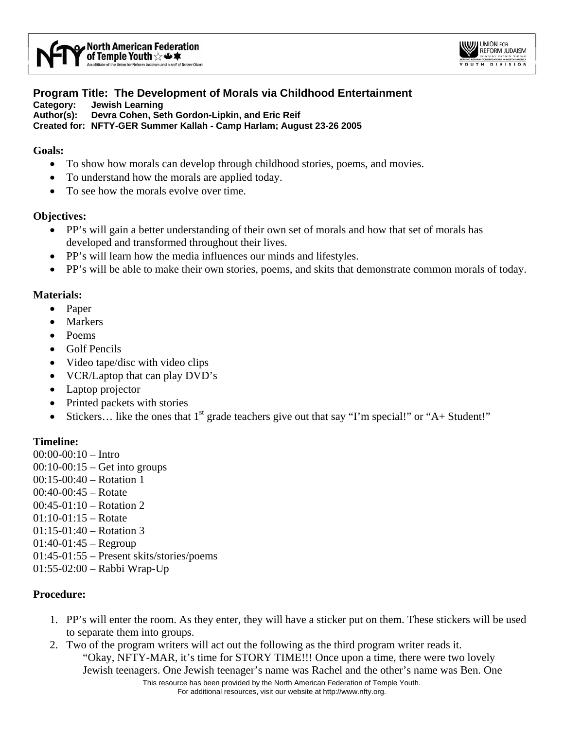

#### **Program Title: The Development of Morals via Childhood Entertainment Category: Jewish Learning Author(s): Devra Cohen, Seth Gordon-Lipkin, and Eric Reif Created for: NFTY-GER Summer Kallah - Camp Harlam; August 23-26 2005**

### **Goals:**

- To show how morals can develop through childhood stories, poems, and movies.
- To understand how the morals are applied today.
- To see how the morals evolve over time.

### **Objectives:**

- PP's will gain a better understanding of their own set of morals and how that set of morals has developed and transformed throughout their lives.
- PP's will learn how the media influences our minds and lifestyles.
- PP's will be able to make their own stories, poems, and skits that demonstrate common morals of today.

### **Materials:**

- Paper
- **Markers**
- Poems
- Golf Pencils
- Video tape/disc with video clips
- VCR/Laptop that can play DVD's
- Laptop projector
- Printed packets with stories
- Stickers... like the ones that  $1<sup>st</sup>$  grade teachers give out that say "I'm special!" or "A+ Student!"

# **Timeline:**

00:00-00:10 – Intro 00:10-00:15 – Get into groups 00:15-00:40 – Rotation 1  $0.0140 - 0.0145 -$  Rotate 00:45-01:10 – Rotation 2  $01:10-01:15$  – Rotate 01:15-01:40 – Rotation 3  $01:40-01:45 - Regroup$ 01:45-01:55 – Present skits/stories/poems 01:55-02:00 – Rabbi Wrap-Up

# **Procedure:**

- 1. PP's will enter the room. As they enter, they will have a sticker put on them. These stickers will be used to separate them into groups.
- This resource has been provided by the North American Federation of Temple Youth. 2. Two of the program writers will act out the following as the third program writer reads it. "Okay, NFTY-MAR, it's time for STORY TIME!!! Once upon a time, there were two lovely Jewish teenagers. One Jewish teenager's name was Rachel and the other's name was Ben. One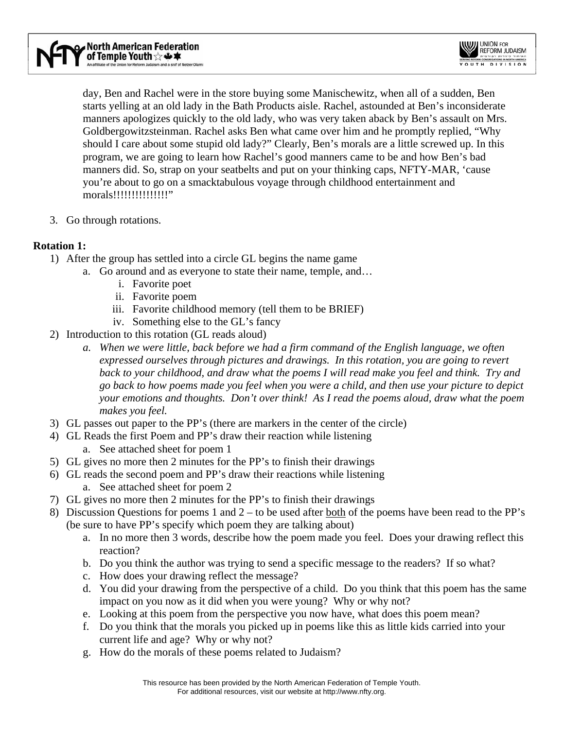day, Ben and Rachel were in the store buying some Manischewitz, when all of a sudden, Ben starts yelling at an old lady in the Bath Products aisle. Rachel, astounded at Ben's inconsiderate manners apologizes quickly to the old lady, who was very taken aback by Ben's assault on Mrs. Goldbergowitzsteinman. Rachel asks Ben what came over him and he promptly replied, "Why should I care about some stupid old lady?" Clearly, Ben's morals are a little screwed up. In this program, we are going to learn how Rachel's good manners came to be and how Ben's bad manners did. So, strap on your seatbelts and put on your thinking caps, NFTY-MAR, 'cause you're about to go on a smacktabulous voyage through childhood entertainment and morals!!!!!!!!!!!!!!!!!

3. Go through rotations.

# **Rotation 1:**

- 1) After the group has settled into a circle GL begins the name game
	- a. Go around and as everyone to state their name, temple, and…
		- i. Favorite poet
		- ii. Favorite poem
		- iii. Favorite childhood memory (tell them to be BRIEF)
		- iv. Something else to the GL's fancy
- 2) Introduction to this rotation (GL reads aloud)
	- *a. When we were little, back before we had a firm command of the English language, we often expressed ourselves through pictures and drawings. In this rotation, you are going to revert back to your childhood, and draw what the poems I will read make you feel and think. Try and go back to how poems made you feel when you were a child, and then use your picture to depict your emotions and thoughts. Don't over think! As I read the poems aloud, draw what the poem makes you feel.*
- 3) GL passes out paper to the PP's (there are markers in the center of the circle)
- 4) GL Reads the first Poem and PP's draw their reaction while listening a. See attached sheet for poem 1
- 5) GL gives no more then 2 minutes for the PP's to finish their drawings
- 6) GL reads the second poem and PP's draw their reactions while listening a. See attached sheet for poem 2
- 7) GL gives no more then 2 minutes for the PP's to finish their drawings
- 8) Discussion Questions for poems 1 and 2 to be used after both of the poems have been read to the PP's (be sure to have PP's specify which poem they are talking about)
	- a. In no more then 3 words, describe how the poem made you feel. Does your drawing reflect this reaction?
	- b. Do you think the author was trying to send a specific message to the readers? If so what?
	- c. How does your drawing reflect the message?
	- d. You did your drawing from the perspective of a child. Do you think that this poem has the same impact on you now as it did when you were young? Why or why not?
	- e. Looking at this poem from the perspective you now have, what does this poem mean?
	- f. Do you think that the morals you picked up in poems like this as little kids carried into your current life and age? Why or why not?
	- g. How do the morals of these poems related to Judaism?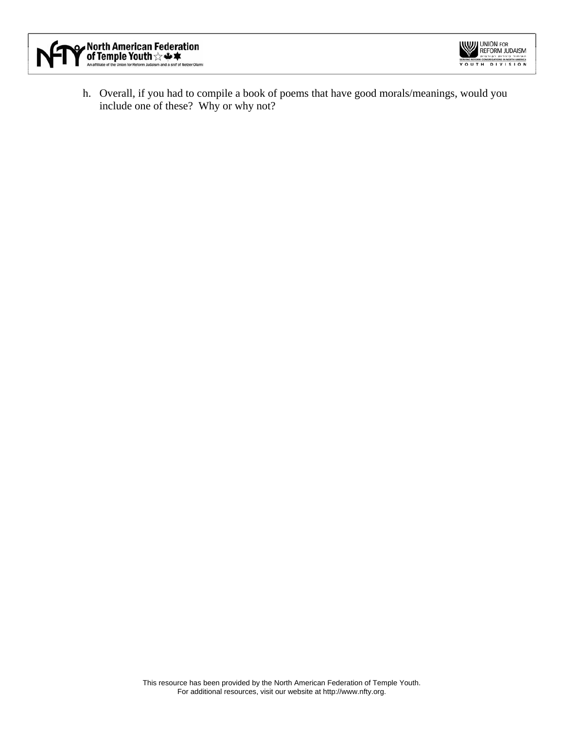



h. Overall, if you had to compile a book of poems that have good morals/meanings, would you include one of these? Why or why not?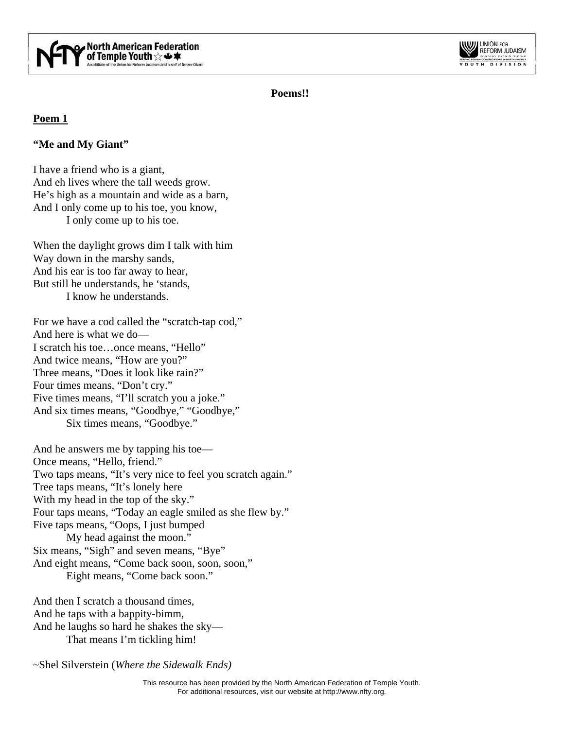



**Poems!!** 

# **Poem 1**

# **"Me and My Giant"**

I have a friend who is a giant, And eh lives where the tall weeds grow. He's high as a mountain and wide as a barn, And I only come up to his toe, you know, I only come up to his toe.

When the daylight grows dim I talk with him Way down in the marshy sands, And his ear is too far away to hear, But still he understands, he 'stands, I know he understands.

For we have a cod called the "scratch-tap cod," And here is what we do— I scratch his toe…once means, "Hello" And twice means, "How are you?" Three means, "Does it look like rain?" Four times means, "Don't cry." Five times means, "I'll scratch you a joke." And six times means, "Goodbye," "Goodbye," Six times means, "Goodbye."

And he answers me by tapping his toe— Once means, "Hello, friend." Two taps means, "It's very nice to feel you scratch again." Tree taps means, "It's lonely here With my head in the top of the sky." Four taps means, "Today an eagle smiled as she flew by." Five taps means, "Oops, I just bumped My head against the moon." Six means, "Sigh" and seven means, "Bye" And eight means, "Come back soon, soon, soon," Eight means, "Come back soon."

And then I scratch a thousand times, And he taps with a bappity-bimm, And he laughs so hard he shakes the sky— That means I'm tickling him!

~Shel Silverstein (*Where the Sidewalk Ends)*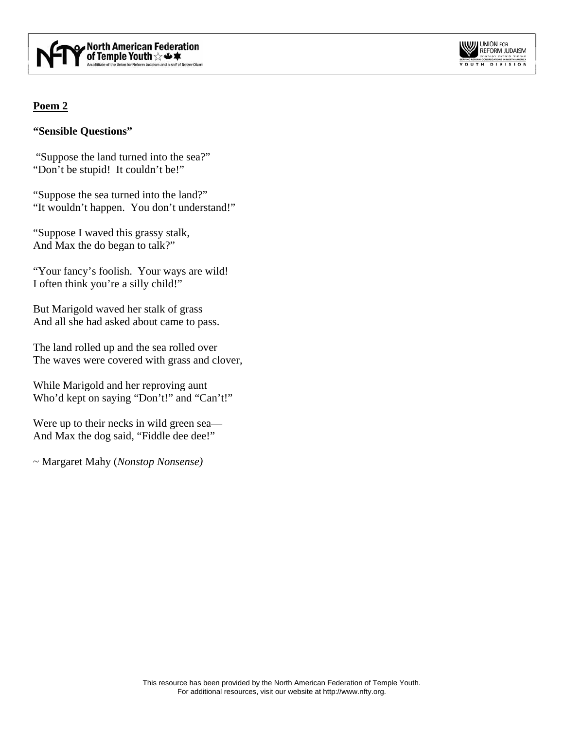

#### **WILL UNION FOR** REFORM JUDAISM SERVING REFORM CONGREGATIONS IN NORTH AMERICA

# **Poem 2**

# **"Sensible Questions"**

 "Suppose the land turned into the sea?" "Don't be stupid! It couldn't be!"

"Suppose the sea turned into the land?" "It wouldn't happen. You don't understand!"

"Suppose I waved this grassy stalk, And Max the do began to talk?"

"Your fancy's foolish. Your ways are wild! I often think you're a silly child!"

But Marigold waved her stalk of grass And all she had asked about came to pass.

The land rolled up and the sea rolled over The waves were covered with grass and clover,

While Marigold and her reproving aunt Who'd kept on saying "Don't!" and "Can't!"

Were up to their necks in wild green sea— And Max the dog said, "Fiddle dee dee!"

~ Margaret Mahy (*Nonstop Nonsense)*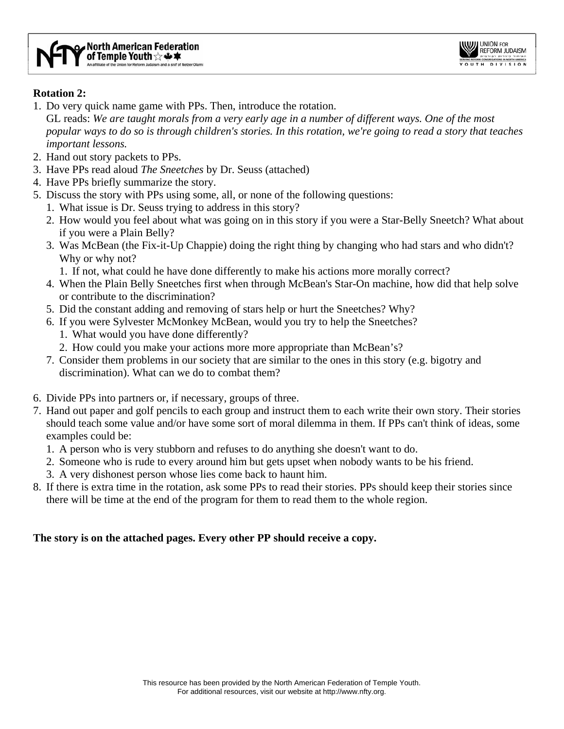

### **Rotation 2:**

- 1. Do very quick name game with PPs. Then, introduce the rotation.
- GL reads: *We are taught morals from a very early age in a number of different ways. One of the most popular ways to do so is through children's stories. In this rotation, we're going to read a story that teaches important lessons.*
- 2. Hand out story packets to PPs.
- 3. Have PPs read aloud *The Sneetches* by Dr. Seuss (attached)
- 4. Have PPs briefly summarize the story.
- 5. Discuss the story with PPs using some, all, or none of the following questions:
	- 1. What issue is Dr. Seuss trying to address in this story?
	- 2. How would you feel about what was going on in this story if you were a Star-Belly Sneetch? What about if you were a Plain Belly?
	- 3. Was McBean (the Fix-it-Up Chappie) doing the right thing by changing who had stars and who didn't? Why or why not?

1. If not, what could he have done differently to make his actions more morally correct?

- 4. When the Plain Belly Sneetches first when through McBean's Star-On machine, how did that help solve or contribute to the discrimination?
- 5. Did the constant adding and removing of stars help or hurt the Sneetches? Why?
- 6. If you were Sylvester McMonkey McBean, would you try to help the Sneetches?
	- 1. What would you have done differently?
	- 2. How could you make your actions more more appropriate than McBean's?
- 7. Consider them problems in our society that are similar to the ones in this story (e.g. bigotry and discrimination). What can we do to combat them?
- 6. Divide PPs into partners or, if necessary, groups of three.
- 7. Hand out paper and golf pencils to each group and instruct them to each write their own story. Their stories should teach some value and/or have some sort of moral dilemma in them. If PPs can't think of ideas, some examples could be:
	- 1. A person who is very stubborn and refuses to do anything she doesn't want to do.
	- 2. Someone who is rude to every around him but gets upset when nobody wants to be his friend.
	- 3. A very dishonest person whose lies come back to haunt him.
- 8. If there is extra time in the rotation, ask some PPs to read their stories. PPs should keep their stories since there will be time at the end of the program for them to read them to the whole region.

# **The story is on the attached pages. Every other PP should receive a copy.**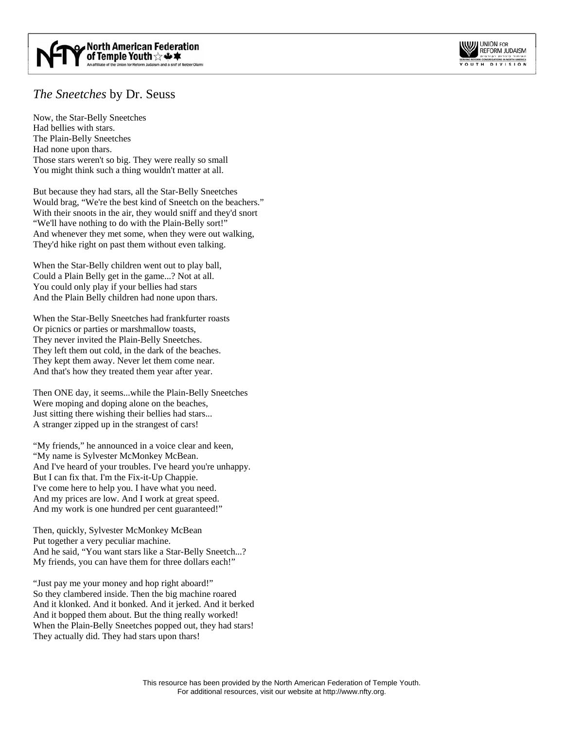

# *The Sneetches* by Dr. Seuss

Now, the Star-Belly Sneetches Had bellies with stars. The Plain-Belly Sneetches Had none upon thars. Those stars weren't so big. They were really so small You might think such a thing wouldn't matter at all.

But because they had stars, all the Star-Belly Sneetches Would brag, "We're the best kind of Sneetch on the beachers." With their snoots in the air, they would sniff and they'd snort "We'll have nothing to do with the Plain-Belly sort!" And whenever they met some, when they were out walking, They'd hike right on past them without even talking.

When the Star-Belly children went out to play ball, Could a Plain Belly get in the game...? Not at all. You could only play if your bellies had stars And the Plain Belly children had none upon thars.

When the Star-Belly Sneetches had frankfurter roasts Or picnics or parties or marshmallow toasts, They never invited the Plain-Belly Sneetches. They left them out cold, in the dark of the beaches. They kept them away. Never let them come near. And that's how they treated them year after year.

Then ONE day, it seems...while the Plain-Belly Sneetches Were moping and doping alone on the beaches, Just sitting there wishing their bellies had stars... A stranger zipped up in the strangest of cars!

"My friends," he announced in a voice clear and keen, "My name is Sylvester McMonkey McBean. And I've heard of your troubles. I've heard you're unhappy. But I can fix that. I'm the Fix-it-Up Chappie. I've come here to help you. I have what you need. And my prices are low. And I work at great speed. And my work is one hundred per cent guaranteed!"

Then, quickly, Sylvester McMonkey McBean Put together a very peculiar machine. And he said, "You want stars like a Star-Belly Sneetch...? My friends, you can have them for three dollars each!"

"Just pay me your money and hop right aboard!" So they clambered inside. Then the big machine roared And it klonked. And it bonked. And it jerked. And it berked And it bopped them about. But the thing really worked! When the Plain-Belly Sneetches popped out, they had stars! They actually did. They had stars upon thars!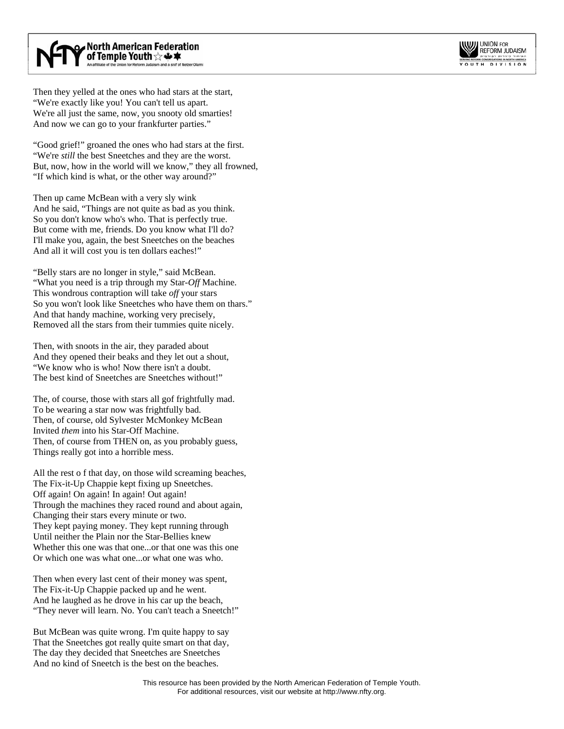

Then they yelled at the ones who had stars at the start, "We're exactly like you! You can't tell us apart. We're all just the same, now, you snooty old smarties! And now we can go to your frankfurter parties."

"Good grief!" groaned the ones who had stars at the first. "We're *still* the best Sneetches and they are the worst. But, now, how in the world will we know," they all frowned, "If which kind is what, or the other way around?"

Then up came McBean with a very sly wink And he said, "Things are not quite as bad as you think. So you don't know who's who. That is perfectly true. But come with me, friends. Do you know what I'll do? I'll make you, again, the best Sneetches on the beaches And all it will cost you is ten dollars eaches!"

"Belly stars are no longer in style," said McBean. "What you need is a trip through my Star-*Off* Machine. This wondrous contraption will take *off* your stars So you won't look like Sneetches who have them on thars." And that handy machine, working very precisely, Removed all the stars from their tummies quite nicely.

Then, with snoots in the air, they paraded about And they opened their beaks and they let out a shout, "We know who is who! Now there isn't a doubt. The best kind of Sneetches are Sneetches without!"

The, of course, those with stars all gof frightfully mad. To be wearing a star now was frightfully bad. Then, of course, old Sylvester McMonkey McBean Invited *them* into his Star-Off Machine. Then, of course from THEN on, as you probably guess, Things really got into a horrible mess.

All the rest o f that day, on those wild screaming beaches, The Fix-it-Up Chappie kept fixing up Sneetches. Off again! On again! In again! Out again! Through the machines they raced round and about again, Changing their stars every minute or two. They kept paying money. They kept running through Until neither the Plain nor the Star-Bellies knew Whether this one was that one...or that one was this one Or which one was what one...or what one was who.

Then when every last cent of their money was spent, The Fix-it-Up Chappie packed up and he went. And he laughed as he drove in his car up the beach, "They never will learn. No. You can't teach a Sneetch!"

But McBean was quite wrong. I'm quite happy to say That the Sneetches got really quite smart on that day, The day they decided that Sneetches are Sneetches And no kind of Sneetch is the best on the beaches.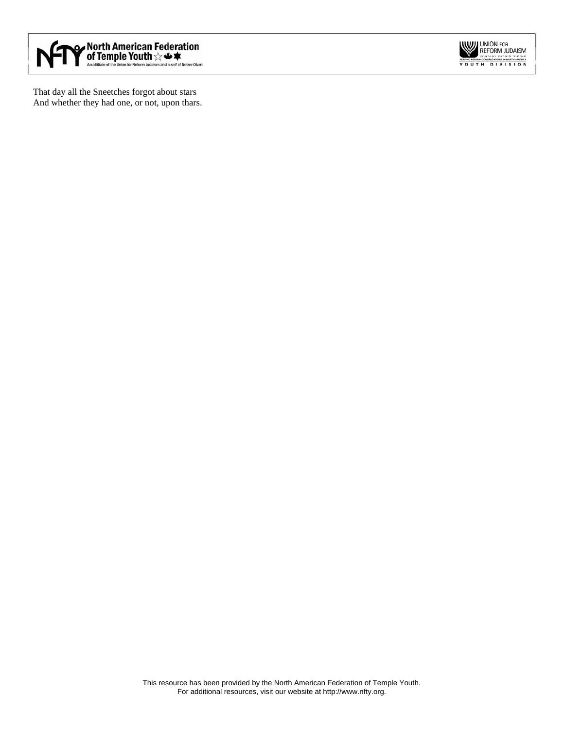

That day all the Sneetches forgot about stars And whether they had one, or not, upon thars.

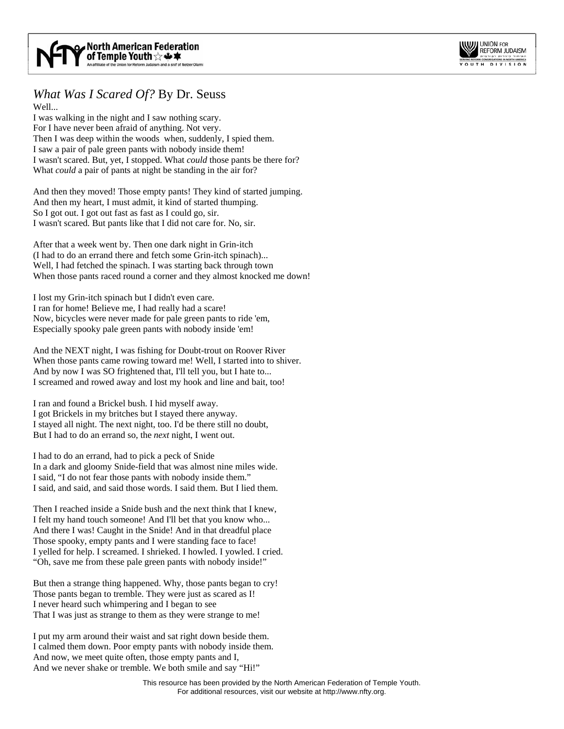

### *What Was I Scared Of?* By Dr. Seuss Well...

I was walking in the night and I saw nothing scary. For I have never been afraid of anything. Not very. Then I was deep within the woods when, suddenly, I spied them. I saw a pair of pale green pants with nobody inside them! I wasn't scared. But, yet, I stopped. What *could* those pants be there for? What *could* a pair of pants at night be standing in the air for?

And then they moved! Those empty pants! They kind of started jumping. And then my heart, I must admit, it kind of started thumping. So I got out. I got out fast as fast as I could go, sir. I wasn't scared. But pants like that I did not care for. No, sir.

After that a week went by. Then one dark night in Grin-itch (I had to do an errand there and fetch some Grin-itch spinach)... Well, I had fetched the spinach. I was starting back through town When those pants raced round a corner and they almost knocked me down!

I lost my Grin-itch spinach but I didn't even care. I ran for home! Believe me, I had really had a scare! Now, bicycles were never made for pale green pants to ride 'em, Especially spooky pale green pants with nobody inside 'em!

And the NEXT night, I was fishing for Doubt-trout on Roover River When those pants came rowing toward me! Well, I started into to shiver. And by now I was SO frightened that, I'll tell you, but I hate to... I screamed and rowed away and lost my hook and line and bait, too!

I ran and found a Brickel bush. I hid myself away. I got Brickels in my britches but I stayed there anyway. I stayed all night. The next night, too. I'd be there still no doubt, But I had to do an errand so, the *next* night, I went out.

I had to do an errand, had to pick a peck of Snide In a dark and gloomy Snide-field that was almost nine miles wide. I said, "I do not fear those pants with nobody inside them." I said, and said, and said those words. I said them. But I lied them.

Then I reached inside a Snide bush and the next think that I knew, I felt my hand touch someone! And I'll bet that you know who... And there I was! Caught in the Snide! And in that dreadful place Those spooky, empty pants and I were standing face to face! I yelled for help. I screamed. I shrieked. I howled. I yowled. I cried. "Oh, save me from these pale green pants with nobody inside!"

But then a strange thing happened. Why, those pants began to cry! Those pants began to tremble. They were just as scared as I! I never heard such whimpering and I began to see That I was just as strange to them as they were strange to me!

I put my arm around their waist and sat right down beside them. I calmed them down. Poor empty pants with nobody inside them. And now, we meet quite often, those empty pants and I, And we never shake or tremble. We both smile and say "Hi!"